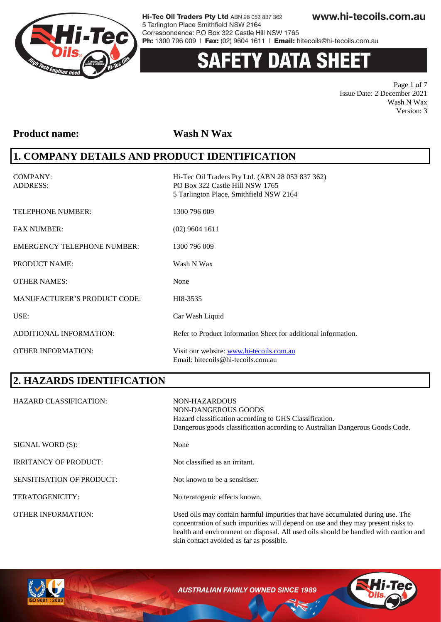

# 'Y DATA SHEE

Page 1 of 7 Issue Date: 2 December 2021 Wash N Wax Version: 3

#### **Product name: Wash N Wax**

#### **1. COMPANY DETAILS AND PRODUCT IDENTIFICATION**

COMPANY: Hi-Tec Oil Traders Pty Ltd. (ABN 28 053 837 362) ADDRESS: PO Box 322 Castle Hill NSW 1765 5 Tarlington Place, Smithfield NSW 2164 TELEPHONE NUMBER: 1300 796 009 FAX NUMBER: (02) 9604 1611 EMERGENCY TELEPHONE NUMBER: 1300 796 009 PRODUCT NAME: Wash N Wax OTHER NAMES: None MANUFACTURER'S PRODUCT CODE: HI8-3535 USE: Car Wash Liquid ADDITIONAL INFORMATION: Refer to Product Information Sheet for additional information. OTHER INFORMATION: Visit our website: [www.hi-tecoils.com.au](http://www.hi-tecoils.com.au/) Email: hitecoils@hi-tecoils.com.au

### **2. HAZARDS IDENTIFICATION**

| <b>HAZARD CLASSIFICATION:</b>    | NON-HAZARDOUS<br>NON-DANGEROUS GOODS<br>Hazard classification according to GHS Classification.<br>Dangerous goods classification according to Australian Dangerous Goods Code.                                                                              |
|----------------------------------|-------------------------------------------------------------------------------------------------------------------------------------------------------------------------------------------------------------------------------------------------------------|
| SIGNAL WORD (S):                 | None                                                                                                                                                                                                                                                        |
| <b>IRRITANCY OF PRODUCT:</b>     | Not classified as an irritant.                                                                                                                                                                                                                              |
| <b>SENSITISATION OF PRODUCT:</b> | Not known to be a sensitiser.                                                                                                                                                                                                                               |
| <b>TERATOGENICITY:</b>           | No teratogenic effects known.                                                                                                                                                                                                                               |
| <b>OTHER INFORMATION:</b>        | Used oils may contain harmful impurities that have accumulated during use. The<br>concentration of such impurities will depend on use and they may present risks to<br>health and environment on disposal. All used oils should be handled with caution and |

skin contact avoided as far as possible.



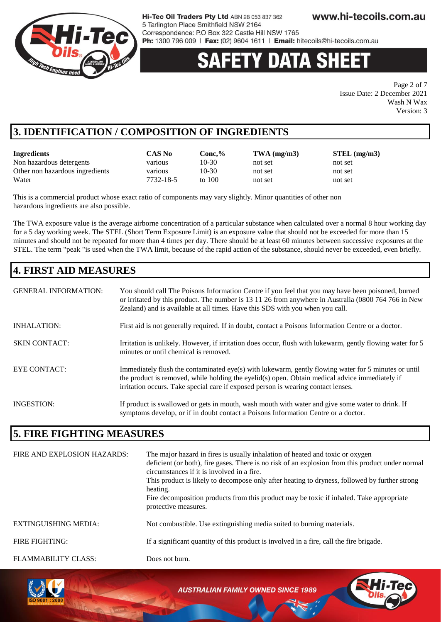

# **DATA SH**

Page 2 of 7 Issue Date: 2 December 2021 Wash N Wax Version: 3

### **3. IDENTIFICATION / COMPOSITION OF INGREDIENTS**

| Ingredients                     | CAS No    | Conc.%  | $TWA$ (mg/m3) | $STEL$ (mg/m3) |
|---------------------------------|-----------|---------|---------------|----------------|
| Non hazardous detergents        | various   | 10-30   | not set       | not set        |
| Other non hazardous ingredients | various   | $10-30$ | not set       | not set        |
| Water                           | 7732-18-5 | to 100  | not set       | not set        |

This is a commercial product whose exact ratio of components may vary slightly. Minor quantities of other non hazardous ingredients are also possible.

The TWA exposure value is the average airborne concentration of a particular substance when calculated over a normal 8 hour working day for a 5 day working week. The STEL (Short Term Exposure Limit) is an exposure value that should not be exceeded for more than 15 minutes and should not be repeated for more than 4 times per day. There should be at least 60 minutes between successive exposures at the STEL. The term "peak "is used when the TWA limit, because of the rapid action of the substance, should never be exceeded, even briefly.

## **4. FIRST AID MEASURES**

| <b>GENERAL INFORMATION:</b> | You should call The Poisons Information Centre if you feel that you may have been poisoned, burned<br>or irritated by this product. The number is 13 11 26 from anywhere in Australia (0800 764 766 in New<br>Zealand) and is available at all times. Have this SDS with you when you call. |
|-----------------------------|---------------------------------------------------------------------------------------------------------------------------------------------------------------------------------------------------------------------------------------------------------------------------------------------|
| <b>INHALATION:</b>          | First aid is not generally required. If in doubt, contact a Poisons Information Centre or a doctor.                                                                                                                                                                                         |
| <b>SKIN CONTACT:</b>        | Irritation is unlikely. However, if irritation does occur, flush with lukewarm, gently flowing water for 5<br>minutes or until chemical is removed.                                                                                                                                         |
| EYE CONTACT:                | Immediately flush the contaminated eye(s) with lukewarm, gently flowing water for 5 minutes or until<br>the product is removed, while holding the eyelid(s) open. Obtain medical advice immediately if<br>irritation occurs. Take special care if exposed person is wearing contact lenses. |
| <b>INGESTION:</b>           | If product is swallowed or gets in mouth, wash mouth with water and give some water to drink. If<br>symptoms develop, or if in doubt contact a Poisons Information Centre or a doctor.                                                                                                      |

#### **5. FIRE FIGHTING MEASURES**

| FIRE AND EXPLOSION HAZARDS: | The major hazard in fires is usually inhalation of heated and toxic or oxygen<br>deficient (or both), fire gases. There is no risk of an explosion from this product under normal<br>circumstances if it is involved in a fire.<br>This product is likely to decompose only after heating to dryness, followed by further strong<br>heating.<br>Fire decomposition products from this product may be toxic if inhaled. Take appropriate<br>protective measures. |
|-----------------------------|-----------------------------------------------------------------------------------------------------------------------------------------------------------------------------------------------------------------------------------------------------------------------------------------------------------------------------------------------------------------------------------------------------------------------------------------------------------------|
| <b>EXTINGUISHING MEDIA:</b> | Not combustible. Use extinguishing media suited to burning materials.                                                                                                                                                                                                                                                                                                                                                                                           |
| FIRE FIGHTING:              | If a significant quantity of this product is involved in a fire, call the fire brigade.                                                                                                                                                                                                                                                                                                                                                                         |
| FLAMMABILITY CLASS:         | Does not burn.                                                                                                                                                                                                                                                                                                                                                                                                                                                  |

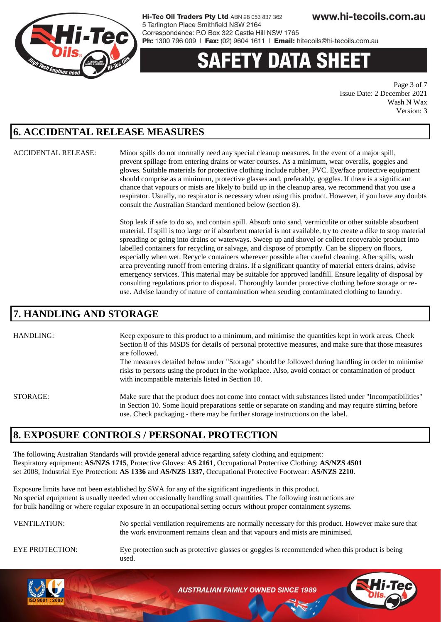

# ETY DATA SH

Page 3 of 7 Issue Date: 2 December 2021 Wash N Wax Version: 3

#### **6. ACCIDENTAL RELEASE MEASURES**

ACCIDENTAL RELEASE: Minor spills do not normally need any special cleanup measures. In the event of a major spill, prevent spillage from entering drains or water courses. As a minimum, wear overalls, goggles and gloves. Suitable materials for protective clothing include rubber, PVC. Eye/face protective equipment should comprise as a minimum, protective glasses and, preferably, goggles. If there is a significant chance that vapours or mists are likely to build up in the cleanup area, we recommend that you use a respirator. Usually, no respirator is necessary when using this product. However, if you have any doubts consult the Australian Standard mentioned below (section 8).

> Stop leak if safe to do so, and contain spill. Absorb onto sand, vermiculite or other suitable absorbent material. If spill is too large or if absorbent material is not available, try to create a dike to stop material spreading or going into drains or waterways. Sweep up and shovel or collect recoverable product into labelled containers for recycling or salvage, and dispose of promptly. Can be slippery on floors, especially when wet. Recycle containers wherever possible after careful cleaning. After spills, wash area preventing runoff from entering drains. If a significant quantity of material enters drains, advise emergency services. This material may be suitable for approved landfill. Ensure legality of disposal by consulting regulations prior to disposal. Thoroughly launder protective clothing before storage or reuse. Advise laundry of nature of contamination when sending contaminated clothing to laundry.

#### **7. HANDLING AND STORAGE**

HANDLING: Keep exposure to this product to a minimum, and minimise the quantities kept in work areas. Check Section 8 of this MSDS for details of personal protective measures, and make sure that those measures are followed.

> The measures detailed below under "Storage" should be followed during handling in order to minimise risks to persons using the product in the workplace. Also, avoid contact or contamination of product with incompatible materials listed in Section 10.

STORAGE: Make sure that the product does not come into contact with substances listed under "Incompatibilities" in Section 10. Some liquid preparations settle or separate on standing and may require stirring before use. Check packaging - there may be further storage instructions on the label.

#### **8. EXPOSURE CONTROLS / PERSONAL PROTECTION**

The following Australian Standards will provide general advice regarding safety clothing and equipment: Respiratory equipment: **AS/NZS 1715**, Protective Gloves: **AS 2161**, Occupational Protective Clothing: **AS/NZS 4501** set 2008, Industrial Eye Protection: **AS 1336** and **AS/NZS 1337**, Occupational Protective Footwear: **AS/NZS 2210**.

Exposure limits have not been established by SWA for any of the significant ingredients in this product. No special equipment is usually needed when occasionally handling small quantities. The following instructions are for bulk handling or where regular exposure in an occupational setting occurs without proper containment systems.



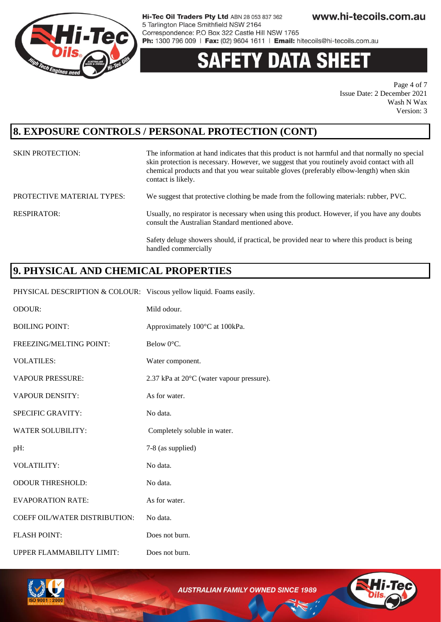

# **DATA SH**

Page 4 of 7 Issue Date: 2 December 2021 Wash N Wax Version: 3

#### **8. EXPOSURE CONTROLS / PERSONAL PROTECTION (CONT)**

| <b>SKIN PROTECTION:</b>           | The information at hand indicates that this product is not harmful and that normally no special<br>skin protection is necessary. However, we suggest that you routinely avoid contact with all<br>chemical products and that you wear suitable gloves (preferably elbow-length) when skin<br>contact is likely. |
|-----------------------------------|-----------------------------------------------------------------------------------------------------------------------------------------------------------------------------------------------------------------------------------------------------------------------------------------------------------------|
| <b>PROTECTIVE MATERIAL TYPES:</b> | We suggest that protective clothing be made from the following materials: rubber, PVC.                                                                                                                                                                                                                          |
| RESPIRATOR:                       | Usually, no respirator is necessary when using this product. However, if you have any doubts<br>consult the Australian Standard mentioned above.                                                                                                                                                                |
|                                   | Safety deluge showers should, if practical, be provided near to where this product is being<br>handled commercially                                                                                                                                                                                             |

### **9. PHYSICAL AND CHEMICAL PROPERTIES**

PHYSICAL DESCRIPTION & COLOUR: Viscous yellow liquid. Foams easily.

| ODOUR:                        | Mild odour.                               |
|-------------------------------|-------------------------------------------|
| <b>BOILING POINT:</b>         | Approximately 100°C at 100kPa.            |
| FREEZING/MELTING POINT:       | Below 0°C.                                |
| <b>VOLATILES:</b>             | Water component.                          |
| <b>VAPOUR PRESSURE:</b>       | 2.37 kPa at 20°C (water vapour pressure). |
| <b>VAPOUR DENSITY:</b>        | As for water.                             |
| SPECIFIC GRAVITY:             | No data.                                  |
| <b>WATER SOLUBILITY:</b>      | Completely soluble in water.              |
| pH:                           | 7-8 (as supplied)                         |
| VOLATILITY:                   | No data.                                  |
| <b>ODOUR THRESHOLD:</b>       | No data.                                  |
| <b>EVAPORATION RATE:</b>      | As for water.                             |
| COEFF OIL/WATER DISTRIBUTION: | No data.                                  |
| <b>FLASH POINT:</b>           | Does not burn.                            |
| UPPER FLAMMABILITY LIMIT:     | Does not burn.                            |



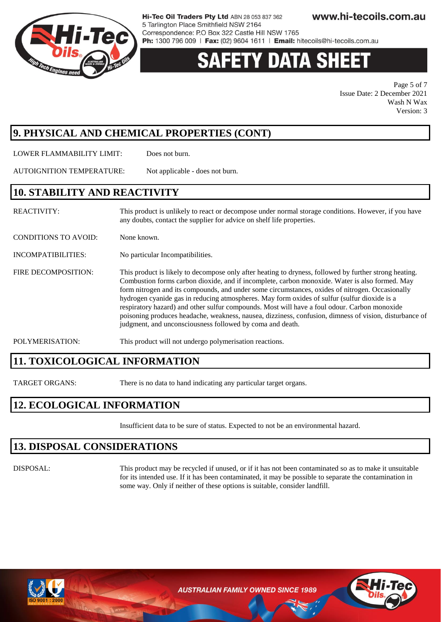

# Y DATA SH

Page 5 of 7 Issue Date: 2 December 2021 Wash N Wax Version: 3

### **9. PHYSICAL AND CHEMICAL PROPERTIES (CONT)**

LOWER FLAMMABILITY LIMIT: Does not burn.

AUTOIGNITION TEMPERATURE: Not applicable - does not burn.

#### **10. STABILITY AND REACTIVITY**

| <b>REACTIVITY:</b>          | This product is unlikely to react or decompose under normal storage conditions. However, if you have<br>any doubts, contact the supplier for advice on shelf life properties.                                                                                                                                                                                                                                                                                                                                                                                                                                                                                                      |
|-----------------------------|------------------------------------------------------------------------------------------------------------------------------------------------------------------------------------------------------------------------------------------------------------------------------------------------------------------------------------------------------------------------------------------------------------------------------------------------------------------------------------------------------------------------------------------------------------------------------------------------------------------------------------------------------------------------------------|
| <b>CONDITIONS TO AVOID:</b> | None known.                                                                                                                                                                                                                                                                                                                                                                                                                                                                                                                                                                                                                                                                        |
| INCOMPATIBILITIES:          | No particular Incompatibilities.                                                                                                                                                                                                                                                                                                                                                                                                                                                                                                                                                                                                                                                   |
| FIRE DECOMPOSITION:         | This product is likely to decompose only after heating to dryness, followed by further strong heating.<br>Combustion forms carbon dioxide, and if incomplete, carbon monoxide. Water is also formed. May<br>form nitrogen and its compounds, and under some circumstances, oxides of nitrogen. Occasionally<br>hydrogen cyanide gas in reducing atmospheres. May form oxides of sulfur (sulfur dioxide is a<br>respiratory hazard) and other sulfur compounds. Most will have a foul odour. Carbon monoxide<br>poisoning produces headache, weakness, nausea, dizziness, confusion, dimness of vision, disturbance of<br>judgment, and unconsciousness followed by coma and death. |
| POLYMERISATION:             | This product will not undergo polymerisation reactions.                                                                                                                                                                                                                                                                                                                                                                                                                                                                                                                                                                                                                            |

### **11. TOXICOLOGICAL INFORMATION**

TARGET ORGANS: There is no data to hand indicating any particular target organs.

### **12. ECOLOGICAL INFORMATION**

Insufficient data to be sure of status. Expected to not be an environmental hazard.

#### **13. DISPOSAL CONSIDERATIONS**

DISPOSAL: This product may be recycled if unused, or if it has not been contaminated so as to make it unsuitable for its intended use. If it has been contaminated, it may be possible to separate the contamination in some way. Only if neither of these options is suitable, consider landfill.



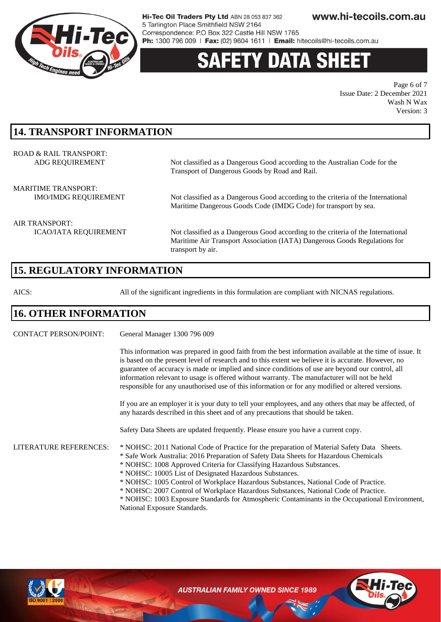

# **Y DATA SH**

Page 6 of 7 Issue Date: 2 December 2021 Wash N Wax Version: 3

### **14. TRANSPORT INFORMATION**

| ROAD & RAIL TRANSPORT:      | Not classified as a Dangerous Good according to the Australian Code for the       |
|-----------------------------|-----------------------------------------------------------------------------------|
| ADG REQUIREMENT             | Transport of Dangerous Goods by Road and Rail.                                    |
| <b>MARITIME TRANSPORT:</b>  | Not classified as a Dangerous Good according to the criteria of the International |
| <b>IMO/IMDG REQUIREMENT</b> | Maritime Dangerous Goods Code (IMDG Code) for transport by sea.                   |
| AIR TRANSPORT:              |                                                                                   |

ICAO/IATA REQUIREMENT Not classified as a Dangerous Good according to the criteria of the International Maritime Air Transport Association (IATA) Dangerous Goods Regulations for transport by air.

### **15. REGULATORY INFORMATION**

AICS: All of the significant ingredients in this formulation are compliant with NICNAS regulations.

#### **16. OTHER INFORMATION**

CONTACT PERSON/POINT: General Manager 1300 796 009

This information was prepared in good faith from the best information available at the time of issue. It is based on the present level of research and to this extent we believe it is accurate. However, no guarantee of accuracy is made or implied and since conditions of use are beyond our control, all information relevant to usage is offered without warranty. The manufacturer will not be held responsible for any unauthorised use of this information or for any modified or altered versions.

If you are an employer it is your duty to tell your employees, and any others that may be affected, of any hazards described in this sheet and of any precautions that should be taken.

Safety Data Sheets are updated frequently. Please ensure you have a current copy.

LITERATURE REFERENCES: \* NOHSC: 2011 National Code of Practice for the preparation of Material Safety Data Sheets.

- \* Safe Work Australia: 2016 Preparation of Safety Data Sheets for Hazardous Chemicals
	- \* NOHSC: 1008 Approved Criteria for Classifying Hazardous Substances.
	- \* NOHSC: 10005 List of Designated Hazardous Substances.
	- \* NOHSC: 1005 Control of Workplace Hazardous Substances, National Code of Practice.
	- \* NOHSC: 2007 Control of Workplace Hazardous Substances, National Code of Practice.

\* NOHSC: 1003 Exposure Standards for Atmospheric Contaminants in the Occupational Environment, National Exposure Standards.